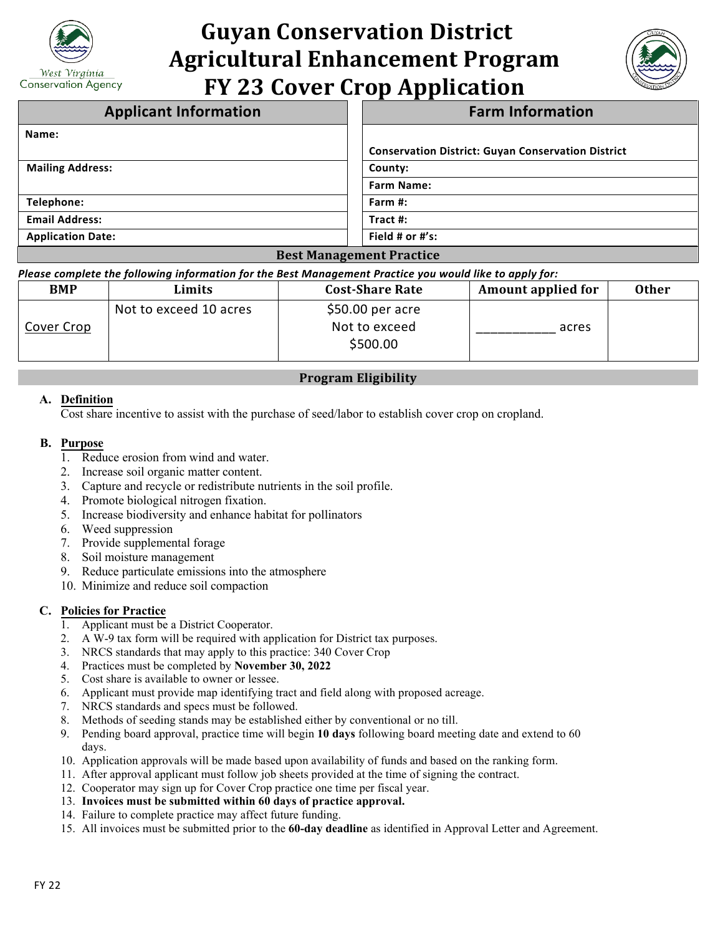

# **Guyan Conservation District Agricultural Enhancement Program FY 23 Cover Crop Application**



| <b>Applicant Information</b>    | <b>Farm Information</b>                                   |  |
|---------------------------------|-----------------------------------------------------------|--|
| Name:                           |                                                           |  |
|                                 | <b>Conservation District: Guyan Conservation District</b> |  |
| <b>Mailing Address:</b>         | County:                                                   |  |
|                                 | <b>Farm Name:</b>                                         |  |
| Telephone:                      | Farm $#$ :                                                |  |
| <b>Email Address:</b>           | Tract $#$ :                                               |  |
| <b>Application Date:</b>        | Field # or $#$ 's:                                        |  |
| <b>Best Management Practice</b> |                                                           |  |

*Please complete the following information for the Best Management Practice you would like to apply for:*

| <b>BMP</b> | Limits                 | <b>Cost-Share Rate</b>                         | <b>Amount applied for</b> | <b>Other</b> |
|------------|------------------------|------------------------------------------------|---------------------------|--------------|
| Cover Crop | Not to exceed 10 acres | $$50.00$ per acre<br>Not to exceed<br>\$500.00 | acres                     |              |

# **Program Eligibility**

## **A. Definition**

Cost share incentive to assist with the purchase of seed/labor to establish cover crop on cropland.

#### **B. Purpose**

- 1. Reduce erosion from wind and water.
- 2. Increase soil organic matter content.
- 3. Capture and recycle or redistribute nutrients in the soil profile.
- 4. Promote biological nitrogen fixation.
- 5. Increase biodiversity and enhance habitat for pollinators
- 6. Weed suppression
- 7. Provide supplemental forage
- 8. Soil moisture management
- 9. Reduce particulate emissions into the atmosphere
- 10. Minimize and reduce soil compaction

## **C. Policies for Practice**

- 1. Applicant must be a District Cooperator.
- 2. A W-9 tax form will be required with application for District tax purposes.
- 3. NRCS standards that may apply to this practice: 340 Cover Crop
- 4. Practices must be completed by **November 30, 2022**
- 5. Cost share is available to owner or lessee.
- 6. Applicant must provide map identifying tract and field along with proposed acreage.
- 7. NRCS standards and specs must be followed.
- 8. Methods of seeding stands may be established either by conventional or no till.
- 9. Pending board approval, practice time will begin **10 days** following board meeting date and extend to 60 days.
- 10. Application approvals will be made based upon availability of funds and based on the ranking form.
- 11. After approval applicant must follow job sheets provided at the time of signing the contract.
- 12. Cooperator may sign up for Cover Crop practice one time per fiscal year.
- 13. **Invoices must be submitted within 60 days of practice approval.**
- 14. Failure to complete practice may affect future funding.
- 15. All invoices must be submitted prior to the **60-day deadline** as identified in Approval Letter and Agreement.